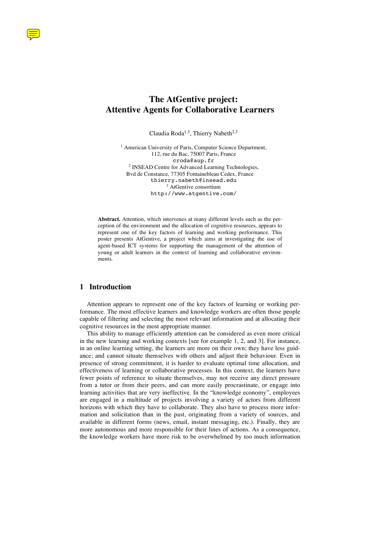# **The AtGentive project: Attentive Agents for Collaborative Learners**

Claudia Roda<sup>1,3</sup>, Thierry Nabeth<sup>2,3</sup>

<sup>1</sup> American University of Paris, Computer Science Department, 112, rue du Bac, 75007 Paris, France croda@aup.fr <sup>2</sup> INSEAD Centre for Advanced Learning Technologies, Bvd de Constance, 77305 Fontainebleau Cedex, France thierry.nabeth@insead.edu <sup>3</sup> AtGentive consortium http://www.atgentive.com/

**Abstract.** Attention, which intervenes at many different levels such as the perception of the environment and the allocation of cognitive resources, appears to represent one of the key factors of learning and working performance. This poster presents AtGentive, a project which aims at investigating the use of agent-based ICT systems for supporting the management of the attention of young or adult learners in the context of learning and collaborative environments.

# **1 Introduction**

Attention appears to represent one of the key factors of learning or working performance. The most effective learners and knowledge workers are often those people capable of filtering and selecting the most relevant information and at allocating their cognitive resources in the most appropriate manner.

This ability to manage efficiently attention can be considered as even more critical in the new learning and working contexts [see for example 1, 2, and 3]. For instance, in an online learning setting, the learners are more on their own; they have less guidance; and cannot situate themselves with others and adjust their behaviour. Even in presence of strong commitment, it is harder to evaluate optimal time allocation, and effectiveness of learning or collaborative processes. In this context, the learners have fewer points of reference to situate themselves, may not receive any direct pressure from a tutor or from their peers, and can more easily procrastinate, or engage into learning activities that are very ineffective. In the "knowledge economy", employees are engaged in a multitude of projects involving a variety of actors from different horizons with which they have to collaborate. They also have to process more information and solicitation than in the past, originating from a variety of sources, and available in different forms (news, email, instant messaging, etc.). Finally, they are more autonomous and more responsible for their lines of actions. As a consequence, the knowledge workers have more risk to be overwhelmed by too much information

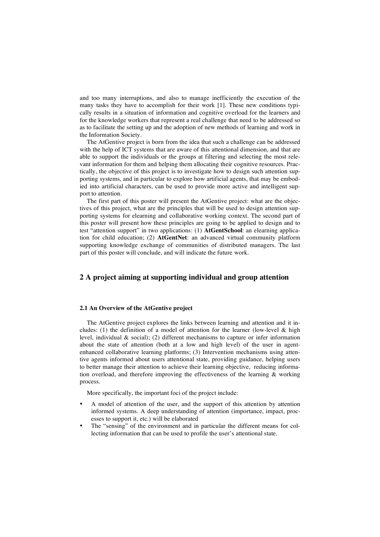and too many interruptions, and also to manage inefficiently the execution of the many tasks they have to accomplish for their work [1]. These new conditions typically results in a situation of information and cognitive overload for the learners and for the knowledge workers that represent a real challenge that need to be addressed so as to facilitate the setting up and the adoption of new methods of learning and work in the Information Society.

The AtGentive project is born from the idea that such a challenge can be addressed with the help of ICT systems that are aware of this attentional dimension, and that are able to support the individuals or the groups at filtering and selecting the most relevant information for them and helping them allocating their cognitive resources. Practically, the objective of this project is to investigate how to design such attention supporting systems, and in particular to explore how artificial agents, that may be embodied into artificial characters, can be used to provide more active and intelligent support to attention.

The first part of this poster will present the AtGentive project: what are the objectives of this project, what are the principles that will be used to design attention supporting systems for elearning and collaborative working context. The second part of this poster will present how these principles are going to be applied to design and to test "attention support" in two applications: (1) **AtGentSchool**: an elearning application for child education; (2) **AtGentNet**: an advanced virtual community platform supporting knowledge exchange of communities of distributed managers. The last part of this poster will conclude, and will indicate the future work.

# **2 A project aiming at supporting individual and group attention**

### **2.1 An Overview of the AtGentive project**

The AtGentive project explores the links between learning and attention and it includes: (1) the definition of a model of attention for the learner (low-level & high level, individual & social); (2) different mechanisms to capture or infer information about the state of attention (both at a low and high level) of the user in agentenhanced collaborative learning platforms; (3) Intervention mechanisms using attentive agents informed about users attentional state, providing guidance, helping users to better manage their attention to achieve their learning objective, reducing information overload, and therefore improving the effectiveness of the learning & working process.

More specifically, the important foci of the project include:

- A model of attention of the user, and the support of this attention by attention informed systems. A deep understanding of attention (importance, impact, processes to support it, etc.) will be elaborated
- The "sensing" of the environment and in particular the different means for collecting information that can be used to profile the user's attentional state.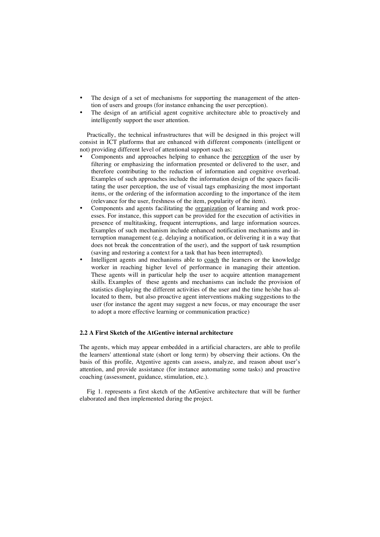- The design of a set of mechanisms for supporting the management of the attention of users and groups (for instance enhancing the user perception).
- The design of an artificial agent cognitive architecture able to proactively and intelligently support the user attention.

Practically, the technical infrastructures that will be designed in this project will consist in ICT platforms that are enhanced with different components (intelligent or not) providing different level of attentional support such as:

- Components and approaches helping to enhance the perception of the user by filtering or emphasizing the information presented or delivered to the user, and therefore contributing to the reduction of information and cognitive overload. Examples of such approaches include the information design of the spaces facilitating the user perception, the use of visual tags emphasizing the most important items, or the ordering of the information according to the importance of the item (relevance for the user, freshness of the item, popularity of the item).
- Components and agents facilitating the organization of learning and work processes. For instance, this support can be provided for the execution of activities in presence of multitasking, frequent interruptions, and large information sources. Examples of such mechanism include enhanced notification mechanisms and interruption management (e.g. delaying a notification, or delivering it in a way that does not break the concentration of the user), and the support of task resumption (saving and restoring a context for a task that has been interrupted).
- Intelligent agents and mechanisms able to coach the learners or the knowledge worker in reaching higher level of performance in managing their attention. These agents will in particular help the user to acquire attention management skills. Examples of these agents and mechanisms can include the provision of statistics displaying the different activities of the user and the time he/she has allocated to them, but also proactive agent interventions making suggestions to the user (for instance the agent may suggest a new focus, or may encourage the user to adopt a more effective learning or communication practice)

#### **2.2 A First Sketch of the AtGentive internal architecture**

The agents, which may appear embedded in a artificial characters, are able to profile the learners' attentional state (short or long term) by observing their actions. On the basis of this profile, Atgentive agents can assess, analyze, and reason about user's attention, and provide assistance (for instance automating some tasks) and proactive coaching (assessment, guidance, stimulation, etc.).

Fig 1. represents a first sketch of the AtGentive architecture that will be further elaborated and then implemented during the project.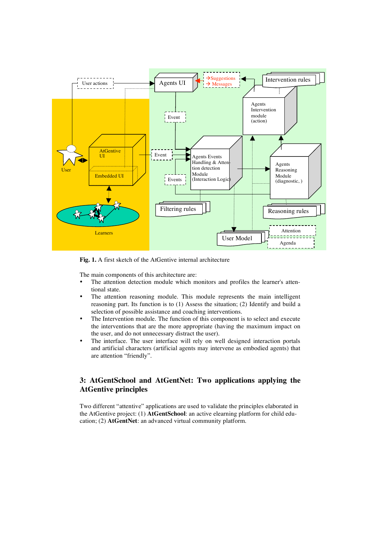

**Fig. 1.** A first sketch of the AtGentive internal architecture

The main components of this architecture are:

- The attention detection module which monitors and profiles the learner's attentional state.
- The attention reasoning module. This module represents the main intelligent reasoning part. Its function is to (1) Assess the situation; (2) Identify and build a selection of possible assistance and coaching interventions.
- The Intervention module. The function of this component is to select and execute the interventions that are the more appropriate (having the maximum impact on the user, and do not unnecessary distract the user).
- The interface. The user interface will rely on well designed interaction portals and artificial characters (artificial agents may intervene as embodied agents) that are attention "friendly".

# **3: AtGentSchool and AtGentNet: Two applications applying the AtGentive principles**

Two different "attentive" applications are used to validate the principles elaborated in the AtGentive project: (1) **AtGentSchool**: an active elearning platform for child education; (2) **AtGentNet**: an advanced virtual community platform.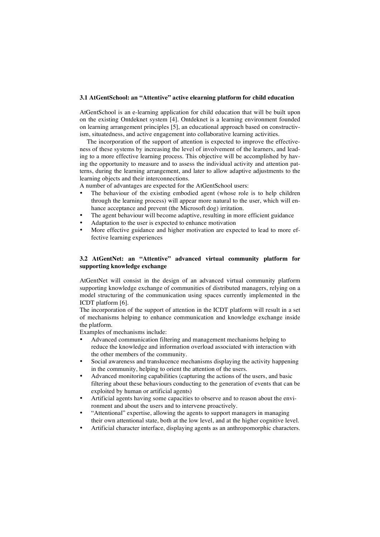#### **3.1 AtGentSchool: an "Attentive" active elearning platform for child education**

AtGentSchool is an e-learning application for child education that will be built upon on the existing Ontdeknet system [4]. Ontdeknet is a learning environment founded on learning arrangement principles [5], an educational approach based on constructivism, situatedness, and active engagement into collaborative learning activities.

The incorporation of the support of attention is expected to improve the effectiveness of these systems by increasing the level of involvement of the learners, and leading to a more effective learning process. This objective will be accomplished by having the opportunity to measure and to assess the individual activity and attention patterns, during the learning arrangement, and later to allow adaptive adjustments to the learning objects and their interconnections.

A number of advantages are expected for the AtGentSchool users:

- The behaviour of the existing embodied agent (whose role is to help children through the learning process) will appear more natural to the user, which will enhance acceptance and prevent (the Microsoft dog) irritation.
- The agent behaviour will become adaptive, resulting in more efficient guidance
- Adaptation to the user is expected to enhance motivation
- More effective guidance and higher motivation are expected to lead to more effective learning experiences

### **3.2 AtGentNet: an "Attentive" advanced virtual community platform for supporting knowledge exchange**

AtGentNet will consist in the design of an advanced virtual community platform supporting knowledge exchange of communities of distributed managers, relying on a model structuring of the communication using spaces currently implemented in the ICDT platform [6].

The incorporation of the support of attention in the ICDT platform will result in a set of mechanisms helping to enhance communication and knowledge exchange inside the platform.

Examples of mechanisms include:

- Advanced communication filtering and management mechanisms helping to reduce the knowledge and information overload associated with interaction with the other members of the community.
- Social awareness and translucence mechanisms displaying the activity happening in the community, helping to orient the attention of the users.
- Advanced monitoring capabilities (capturing the actions of the users, and basic filtering about these behaviours conducting to the generation of events that can be exploited by human or artificial agents)
- Artificial agents having some capacities to observe and to reason about the environment and about the users and to intervene proactively.
- "Attentional" expertise, allowing the agents to support managers in managing their own attentional state, both at the low level, and at the higher cognitive level.
- Artificial character interface, displaying agents as an anthropomorphic characters.